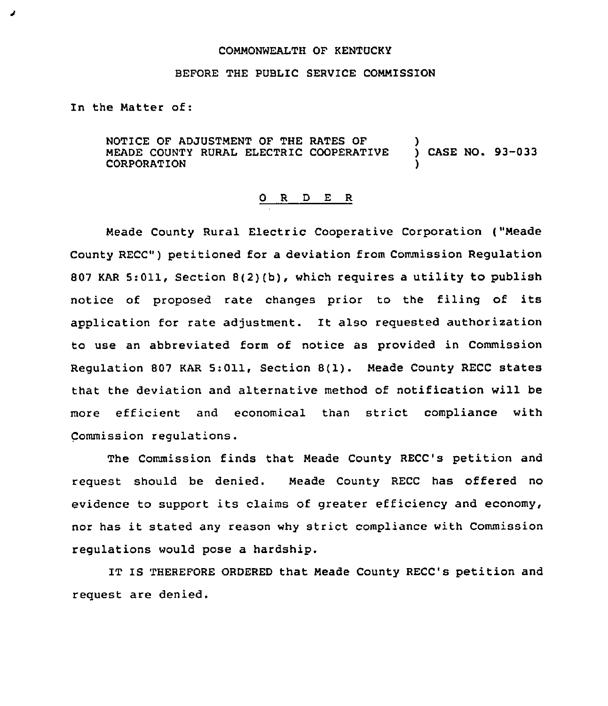## COMMONWEALTH OF KENTUCKY

## BEFORE THE PUBLIC SERVICE COMMISSION

In the Matter of:

ð

NOTICE OF ADJUSTMENT OF THE RATES OF (2008)<br>MEADE COUNTY RURAL ELECTRIC COOPERATIVE (2008) CASE NO. 93-033 MEADE COUNTY RURAL ELECTRIC COOPERATIVE **CORPORATION** 

## 0 <sup>R</sup> <sup>D</sup> E R

Meade County Rural Electric Cooperative Corporation ("Meade County RECC") petitioned for a deviation from Commission Regulation 807 KAR 5:011, Section 8(2){b), which requires a utility to publish notice of proposed rate changes prior to the filing of its application for rate adjustment. It also requested authorization to use an abbreviated form of notice as provided in Commission Regulation <sup>807</sup> KAR 5:011, Section 8(1). Meade County RECC states that the deviation and alternative method of notification will be more efficient and economical than strict compliance with Commission regulations.

The Commission finds that Meade County RECC's petition and request should be denied. Meade County RECC has offered no evidence to support its claims of greater efficiency and economy, nor has it stated any reason why strict compliance with Commission regulations would pose a hardship.

IT IS THEREFORE ORDERED that Meade County RECC's petition and request are denied.